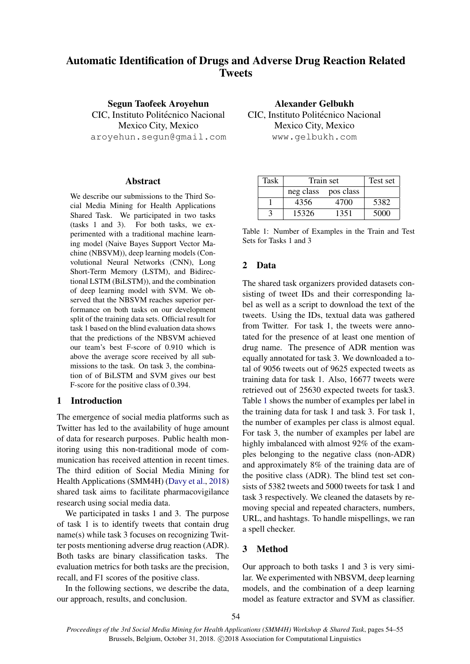# Automatic Identification of Drugs and Adverse Drug Reaction Related **Tweets**

Segun Taofeek Aroyehun CIC, Instituto Politécnico Nacional Mexico City, Mexico aroyehun.segun@gmail.com

#### Abstract

We describe our submissions to the Third Social Media Mining for Health Applications Shared Task. We participated in two tasks (tasks 1 and 3). For both tasks, we experimented with a traditional machine learning model (Naive Bayes Support Vector Machine (NBSVM)), deep learning models (Convolutional Neural Networks (CNN), Long Short-Term Memory (LSTM), and Bidirectional LSTM (BiLSTM)), and the combination of deep learning model with SVM. We observed that the NBSVM reaches superior performance on both tasks on our development split of the training data sets. Official result for task 1 based on the blind evaluation data shows that the predictions of the NBSVM achieved our team's best F-score of 0.910 which is above the average score received by all submissions to the task. On task 3, the combination of of BiLSTM and SVM gives our best F-score for the positive class of 0.394.

#### 1 Introduction

The emergence of social media platforms such as Twitter has led to the availability of huge amount of data for research purposes. Public health monitoring using this non-traditional mode of communication has received attention in recent times. The third edition of Social Media Mining for Health Applications (SMM4H) [\(Davy et al.,](#page-1-0) [2018\)](#page-1-0) shared task aims to facilitate pharmacovigilance research using social media data.

We participated in tasks 1 and 3. The purpose of task 1 is to identify tweets that contain drug name(s) while task 3 focuses on recognizing Twitter posts mentioning adverse drug reaction (ADR). Both tasks are binary classification tasks. The evaluation metrics for both tasks are the precision, recall, and F1 scores of the positive class.

In the following sections, we describe the data, our approach, results, and conclusion.

Alexander Gelbukh CIC, Instituto Politécnico Nacional Mexico City, Mexico www.gelbukh.com

| Task | Train set           |      | Test set |
|------|---------------------|------|----------|
|      | neg class pos class |      |          |
|      | 4356                | 4700 | 5382     |
|      | 15326               | 1351 | 5000     |

<span id="page-0-0"></span>Table 1: Number of Examples in the Train and Test Sets for Tasks 1 and 3

# 2 Data

The shared task organizers provided datasets consisting of tweet IDs and their corresponding label as well as a script to download the text of the tweets. Using the IDs, textual data was gathered from Twitter. For task 1, the tweets were annotated for the presence of at least one mention of drug name. The presence of ADR mention was equally annotated for task 3. We downloaded a total of 9056 tweets out of 9625 expected tweets as training data for task 1. Also, 16677 tweets were retrieved out of 25630 expected tweets for task3. Table [1](#page-0-0) shows the number of examples per label in the training data for task 1 and task 3. For task 1, the number of examples per class is almost equal. For task 3, the number of examples per label are highly imbalanced with almost 92% of the examples belonging to the negative class (non-ADR) and approximately 8% of the training data are of the positive class (ADR). The blind test set consists of 5382 tweets and 5000 tweets for task 1 and task 3 respectively. We cleaned the datasets by removing special and repeated characters, numbers, URL, and hashtags. To handle mispellings, we ran a spell checker.

# 3 Method

Our approach to both tasks 1 and 3 is very similar. We experimented with NBSVM, deep learning models, and the combination of a deep learning model as feature extractor and SVM as classifier.